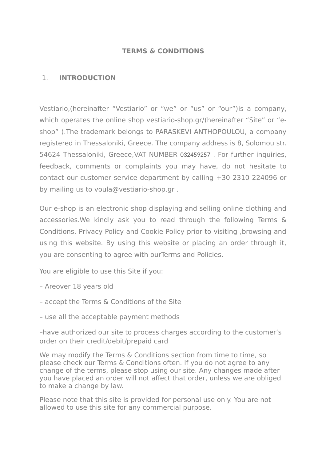#### **TERMS & CONDITIONS**

#### 1. **INTRODUCTION**

Vestiario,(hereinafter "Vestiario" or "we" or "us" or "our")is a company, which operates the online shop vestiario-shop.gr/(hereinafter "Site" or "eshop" ).The trademark belongs to PARASKEVI ANTHOPOULOU, a company registered in Thessaloniki, Greece. The company address is 8, Solomou str. 54624 Thessaloniki, Greece,VAT NUMBER 032459257 . For further inquiries, feedback, comments or complaints you may have, do not hesitate to contact our customer service department by calling +30 2310 224096 or by mailing us to voula@vestiario-shop.gr .

Our e-shop is an electronic shop displaying and selling online clothing and accessories.We kindly ask you to read through the following Terms & Conditions, Privacy Policy and Cookie Policy prior to visiting ,browsing and using this website. By using this website or placing an order through it, you are consenting to agree with ourTerms and Policies.

You are eligible to use this Site if you:

- Areover 18 years old
- accept the Terms & Conditions of the Site
- use all the acceptable payment methods

–have authorized our site to process charges according to the customer's order on their credit/debit/prepaid card

We may modify the Terms & Conditions section from time to time, so please check our Terms & Conditions often. If you do not agree to any change of the terms, please stop using our site. Any changes made after you have placed an order will not affect that order, unless we are obliged to make a change by law.

Please note that this site is provided for personal use only. You are not allowed to use this site for any commercial purpose.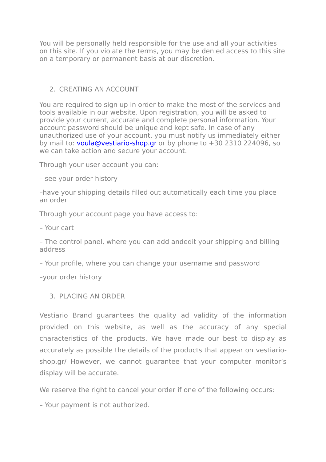You will be personally held responsible for the use and all your activities on this site. If you violate the terms, you may be denied access to this site on a temporary or permanent basis at our discretion.

#### 2. CREATING AN ACCOUNT

You are required to sign up in order to make the most of the services and tools available in our website. Upon registration, you will be asked to provide your current, accurate and complete personal information. Your account password should be unique and kept safe. In case of any unauthorized use of your account, you must notify us immediately either by mail to: [voula@vestiario-shop.gr](mailto:voula@vestiario-shop.gr) or by phone to  $+30$  2310 224096, so we can take action and secure your account.

Through your user account you can:

– see your order history

–have your shipping details filled out automatically each time you place an order

Through your account page you have access to:

– Your cart

– The control panel, where you can add andedit your shipping and billing address

– Your profile, where you can change your username and password

–your order history

3. PLACING AN ORDER

Vestiario Brand guarantees the quality ad validity of the information provided on this website, as well as the accuracy of any special characteristics of the products. We have made our best to display as accurately as possible the details of the products that appear on vestiarioshop.gr/ However, we cannot guarantee that your computer monitor's display will be accurate.

We reserve the right to cancel your order if one of the following occurs:

– Your payment is not authorized.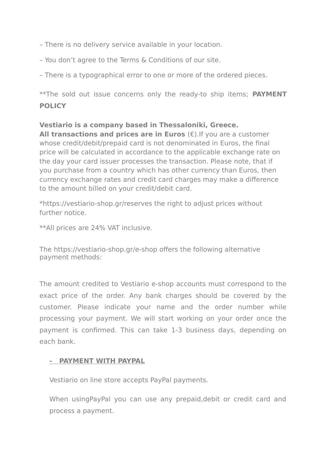– There is no delivery service available in your location.

– You don't agree to the Terms & Conditions of our site.

– There is a typographical error to one or more of the ordered pieces.

\*\*The sold out issue concerns only the ready-to ship items; **PAYMENT POLICY**

#### **Vestiario is a company based in Thessaloniki, Greece.**

**All transactions and prices are in Euros**  $(\epsilon)$ . If you are a customer whose credit/debit/prepaid card is not denominated in Euros, the final price will be calculated in accordance to the applicable exchange rate on the day your card issuer processes the transaction. Please note, that if you purchase from a country which has other currency than Euros, then currency exchange rates and credit card charges may make a difference to the amount billed on your credit/debit card.

\*https://vestiario-shop.gr/reserves the right to adjust prices without further notice.

\*\*All prices are 24% VAT inclusive.

The https://vestiario-shop.gr/e-shop offers the following alternative payment methods:

The amount credited to Vestiario e-shop accounts must correspond to the exact price of the order. Any bank charges should be covered by the customer. Please indicate your name and the order number while processing your payment. We will start working on your order once the payment is confirmed. This can take 1-3 business days, depending on each bank.

#### **- PAYMENT WITH PAYPAL**

Vestiario on line store accepts PayPal payments.

When usingPayPal you can use any prepaid,debit or credit card and process a payment.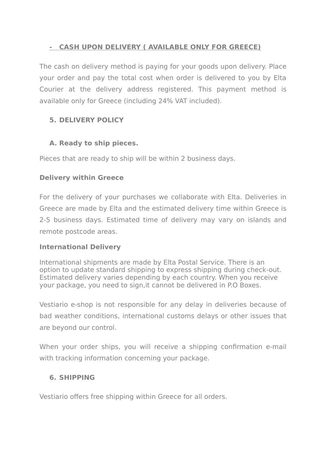# **- CASH UPON DELIVERY ( AVAILABLE ONLY FOR GREECE)**

The cash on delivery method is paying for your goods upon delivery. Place your order and pay the total cost when order is delivered to you by Elta Courier at the delivery address registered. This payment method is available only for Greece (including 24% VAT included).

# **5. DELIVERY POLICY**

### **A. Ready to ship pieces.**

Pieces that are ready to ship will be within 2 business days.

### **Delivery within Greece**

For the delivery of your purchases we collaborate with Elta. Deliveries in Greece are made by Elta and the estimated delivery time within Greece is 2-5 business days. Estimated time of delivery may vary on islands and remote postcode areas.

# **International Delivery**

International shipments are made by Elta Postal Service. There is an option to update standard shipping to express shipping during check-out. Estimated delivery varies depending by each country. When you receive your package, you need to sign,it cannot be delivered in P.O Boxes.

Vestiario e-shop is not responsible for any delay in deliveries because of bad weather conditions, international customs delays or other issues that are beyond our control.

When your order ships, you will receive a shipping confirmation e-mail with tracking information concerning your package.

# **6. SHIPPING**

Vestiario offers free shipping within Greece for all orders.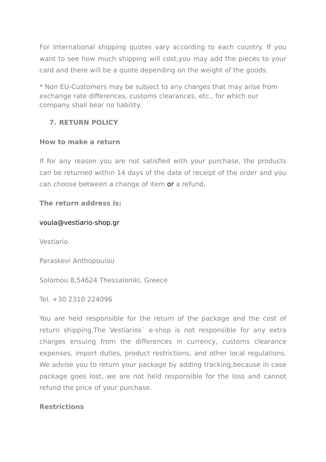For International shipping quotes vary according to each country. If you want to see how much shipping will cost,you may add the pieces to your card and there will be a quote depending on the weight of the goods.

\* Non EU-Customers may be subject to any charges that may arise from exchange rate differences, customs clearances, etc., for which our company shall bear no liability.

# **7. RETURN POLICY**

#### **How to make a return**

If for any reason you are not satisfied with your purchase, the products can be returned within 14 days of the date of receipt of the order and you can choose between a change of item or a refund.

#### **The return address is:**

#### voula@vestiario-shop.gr

Vestiario

Paraskevi Anthopoulou

Solomou 8,54624 Thessaloniki, Greece

Tel. +30 2310 224096

You are held responsible for the return of the package and the cost of return shipping.The Vestiarios` e-shop is not responsible for any extra charges ensuing from the differences in currency, customs clearance expenses, import duties, product restrictions, and other local regulations. We advise you to return your package by adding tracking, because in case package goes lost, we are not held responsible for the loss and cannot refund the price of your purchase.

#### **Restrictions**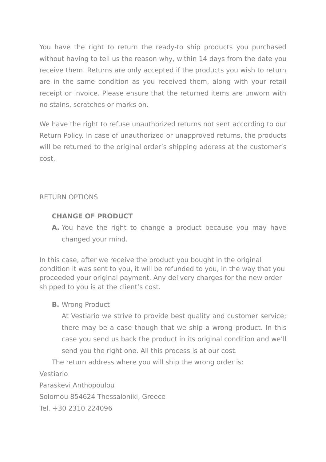You have the right to return the ready-to ship products you purchased without having to tell us the reason why, within 14 days from the date you receive them. Returns are only accepted if the products you wish to return are in the same condition as you received them, along with your retail receipt or invoice. Please ensure that the returned items are unworn with no stains, scratches or marks on.

We have the right to refuse unauthorized returns not sent according to our Return Policy. In case of unauthorized or unapproved returns, the products will be returned to the original order's shipping address at the customer's cost.

### RETURN OPTIONS

# **CHANGE OF PRODUCT**

**A.** You have the right to change a product because you may have changed your mind.

In this case, after we receive the product you bought in the original condition it was sent to you, it will be refunded to you, in the way that you proceeded your original payment. Any delivery charges for the new order shipped to you is at the client's cost.

# **B.** Wrong Product

At Vestiario we strive to provide best quality and customer service; there may be a case though that we ship a wrong product. In this case you send us back the product in its original condition and we'll send you the right one. All this process is at our cost.

The return address where you will ship the wrong order is: Vestiario Paraskevi Anthopoulou Solomou 854624 Thessaloniki, Greece

Tel. +30 2310 224096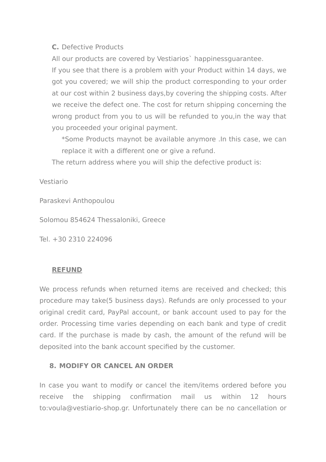#### **C.** Defective Products

All our products are covered by Vestiarios` happinessguarantee.

If you see that there is a problem with your Product within 14 days, we got you covered; we will ship the product corresponding to your order at our cost within 2 business days,by covering the shipping costs. After we receive the defect one. The cost for return shipping concerning the wrong product from you to us will be refunded to you,in the way that you proceeded your original payment.

\*Some Products maynot be available anymore .In this case, we can replace it with a different one or give a refund.

The return address where you will ship the defective product is:

Vestiario

Paraskevi Anthopoulou

Solomou 854624 Thessaloniki, Greece

Tel. +30 2310 224096

#### **REFUND**

We process refunds when returned items are received and checked; this procedure may take(5 business days). Refunds are only processed to your original credit card, PayPal account, or bank account used to pay for the order. Processing time varies depending on each bank and type of credit card. If the purchase is made by cash, the amount of the refund will be deposited into the bank account specified by the customer.

#### **8. MODIFY OR CANCEL AN ORDER**

In case you want to modify or cancel the item/items ordered before you receive the shipping confirmation mail us within 12 hours to:voula@vestiario-shop.gr. Unfortunately there can be no cancellation or